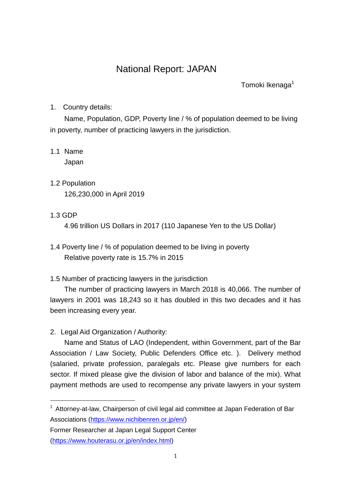# National Report: JAPAN

Tomoki Ikenaga<sup>1</sup>

1. Country details:

Name, Population, GDP, Poverty line / % of population deemed to be living in poverty, number of practicing lawyers in the jurisdiction.

- 1.1 Name Japan
- 1.2 Population 126,230,000 in April 2019
- 1.3 GDP

-

4.96 trillion US Dollars in 2017 (110 Japanese Yen to the US Dollar)

- 1.4 Poverty line / % of population deemed to be living in poverty Relative poverty rate is 15.7% in 2015
- 1.5 Number of practicing lawyers in the jurisdiction

The number of practicing lawyers in March 2018 is 40,066. The number of lawyers in 2001 was 18,243 so it has doubled in this two decades and it has been increasing every year.

2. Legal Aid Organization / Authority:

Name and Status of LAO (Independent, within Government, part of the Bar Association / Law Society, Public Defenders Office etc. ). Delivery method (salaried, private profession, paralegals etc. Please give numbers for each sector. If mixed please give the division of labor and balance of the mix). What payment methods are used to recompense any private lawyers in your system

 $1$  Attorney-at-law, Chairperson of civil legal aid committee at Japan Federation of Bar Associations [\(https://www.nichibenren.or.jp/en/\)](https://www.nichibenren.or.jp/en/)

Former Researcher at Japan Legal Support Center [\(https://www.houterasu.or.jp/en/index.html\)](https://www.houterasu.or.jp/en/index.html)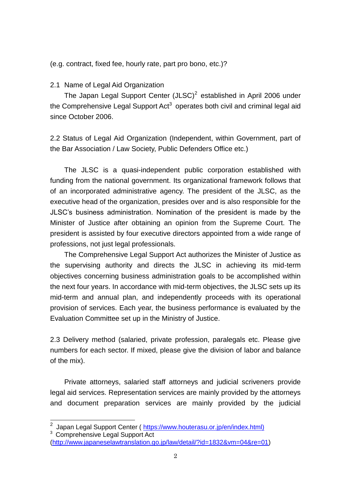(e.g. contract, fixed fee, hourly rate, part pro bono, etc.)?

## 2.1 Name of Legal Aid Organization

The Japan Legal Support Center  $(JLSC)^2$  established in April 2006 under the Comprehensive Legal Support Act<sup>3</sup> operates both civil and criminal legal aid since October 2006.

2.2 Status of Legal Aid Organization (Independent, within Government, part of the Bar Association / Law Society, Public Defenders Office etc.)

The JLSC is a quasi-independent public corporation established with funding from the national government. Its organizational framework follows that of an incorporated administrative agency. The president of the JLSC, as the executive head of the organization, presides over and is also responsible for the JLSC's business administration. Nomination of the president is made by the Minister of Justice after obtaining an opinion from the Supreme Court. The president is assisted by four executive directors appointed from a wide range of professions, not just legal professionals.

The Comprehensive Legal Support Act authorizes the Minister of Justice as the supervising authority and directs the JLSC in achieving its mid-term objectives concerning business administration goals to be accomplished within the next four years. In accordance with mid-term objectives, the JLSC sets up its mid-term and annual plan, and independently proceeds with its operational provision of services. Each year, the business performance is evaluated by the Evaluation Committee set up in the Ministry of Justice.

2.3 Delivery method (salaried, private profession, paralegals etc. Please give numbers for each sector. If mixed, please give the division of labor and balance of the mix).

Private attorneys, salaried staff attorneys and judicial scriveners provide legal aid services. Representation services are mainly provided by the attorneys and document preparation services are mainly provided by the judicial

\_\_\_\_\_\_\_\_\_\_\_\_\_\_\_\_\_\_\_\_\_\_\_\_\_\_\_\_\_\_\_\_\_<br><sup>2</sup> Japan Legal Support Center ( <u>https://www.houterasu.or.jp/en/index.html)</u> <sup>3</sup> Comprehensive Legal Support Act

[<sup>\(</sup>http://www.japaneselawtranslation.go.jp/law/detail/?id=1832&vm=04&re=01\)](http://www.japaneselawtranslation.go.jp/law/detail/?id=1832&vm=04&re=01)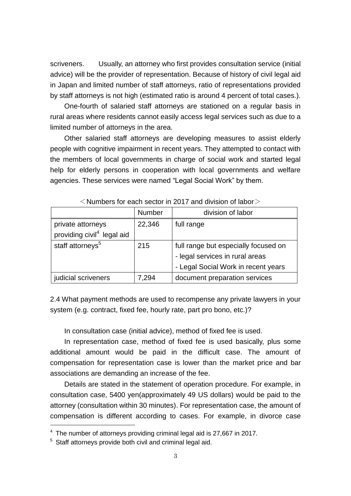scriveners. Usually, an attorney who first provides consultation service (initial advice) will be the provider of representation. Because of history of civil legal aid in Japan and limited number of staff attorneys, ratio of representations provided by staff attorneys is not high (estimated ratio is around 4 percent of total cases.).

One-fourth of salaried staff attorneys are stationed on a regular basis in rural areas where residents cannot easily access legal services such as due to a limited number of attorneys in the area.

Other salaried staff attorneys are developing measures to assist elderly people with cognitive impairment in recent years. They attempted to contact with the members of local governments in charge of social work and started legal help for elderly persons in cooperation with local governments and welfare agencies. These services were named "Legal Social Work" by them.

|                                        | <b>Number</b> | division of labor                    |
|----------------------------------------|---------------|--------------------------------------|
| private attorneys                      | 22,346        | full range                           |
| providing civil <sup>4</sup> legal aid |               |                                      |
| staff attorneys <sup>5</sup>           | 215           | full range but especially focused on |
|                                        |               | - legal services in rural areas      |
|                                        |               | - Legal Social Work in recent years  |
| judicial scriveners                    | 7.294         | document preparation services        |

 $\leq$  Numbers for each sector in 2017 and division of labor  $\geq$ 

2.4 What payment methods are used to recompense any private lawyers in your system (e.g. contract, fixed fee, hourly rate, part pro bono, etc.)?

In consultation case (initial advice), method of fixed fee is used.

In representation case, method of fixed fee is used basically, plus some additional amount would be paid in the difficult case. The amount of compensation for representation case is lower than the market price and bar associations are demanding an increase of the fee.

Details are stated in the statement of operation procedure. For example, in consultation case, 5400 yen(approximately 49 US dollars) would be paid to the attorney (consultation within 30 minutes).For representation case, the amount of compensation is different according to cases. For example, in divorce case

 $\overline{\phantom{a}}$ 

<sup>&</sup>lt;sup>4</sup> The number of attorneys providing criminal legal aid is 27,667 in 2017.

 $5$  Staff attornevs provide both civil and criminal legal aid.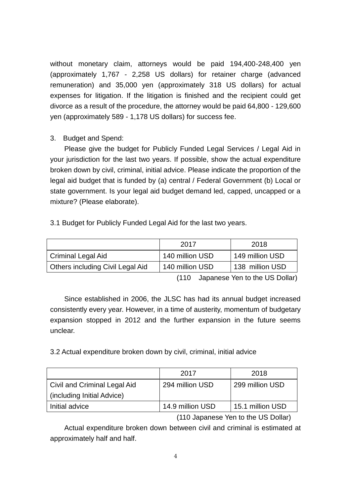without monetary claim, attorneys would be paid 194,400-248,400 yen (approximately 1,767 - 2,258 US dollars) for retainer charge (advanced remuneration) and 35,000 yen (approximately 318 US dollars) for actual expenses for litigation. If the litigation is finished and the recipient could get divorce as a result of the procedure, the attorney would be paid 64,800 - 129,600 yen (approximately 589 - 1,178 US dollars) for success fee.

## 3. Budget and Spend:

Please give the budget for Publicly Funded Legal Services / Legal Aid in your jurisdiction for the last two years. If possible, show the actual expenditure broken down by civil, criminal, initial advice. Please indicate the proportion of the legal aid budget that is funded by (a) central / Federal Government (b) Local or state government. Is your legal aid budget demand led, capped, uncapped or a mixture? (Please elaborate).

3.1 Budget for Publicly Funded Legal Aid for the last two years.

|                                  | 2017            | 2018            |
|----------------------------------|-----------------|-----------------|
| Criminal Legal Aid               | 140 million USD | 149 million USD |
| Others including Civil Legal Aid | 140 million USD | 138 million USD |

(110 Japanese Yen to the US Dollar)

Since established in 2006, the JLSC has had its annual budget increased consistently every year. However, in a time of austerity, momentum of budgetary expansion stopped in 2012 and the further expansion in the future seems unclear.

3.2 Actual expenditure broken down by civil, criminal, initial advice

|                              | 2017             | 2018             |
|------------------------------|------------------|------------------|
| Civil and Criminal Legal Aid | 294 million USD  | 299 million USD  |
| (including Initial Advice)   |                  |                  |
| Initial advice               | 14.9 million USD | 15.1 million USD |

(110 Japanese Yen to the US Dollar)

Actual expenditure broken down between civil and criminal is estimated at approximately half and half.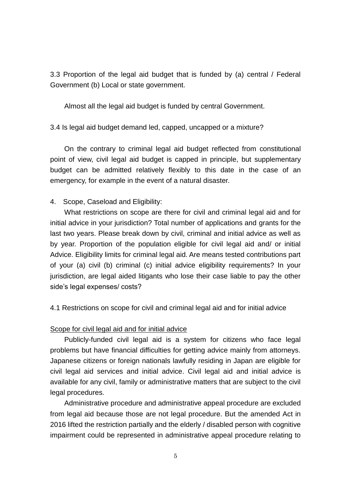3.3 Proportion of the legal aid budget that is funded by (a) central / Federal Government (b) Local or state government.

Almost all the legal aid budget is funded by central Government.

3.4 Is legal aid budget demand led, capped, uncapped or a mixture?

On the contrary to criminal legal aid budget reflected from constitutional point of view, civil legal aid budget is capped in principle, but supplementary budget can be admitted relatively flexibly to this date in the case of an emergency, for example in the event of a natural disaster.

## 4. Scope, Caseload and Eligibility:

What restrictions on scope are there for civil and criminal legal aid and for initial advice in your jurisdiction? Total number of applications and grants for the last two years. Please break down by civil, criminal and initial advice as well as by year. Proportion of the population eligible for civil legal aid and/ or initial Advice. Eligibility limits for criminal legal aid. Are means tested contributions part of your (a) civil (b) criminal (c) initial advice eligibility requirements? In your jurisdiction, are legal aided litigants who lose their case liable to pay the other side's legal expenses/ costs?

4.1 Restrictions on scope for civil and criminal legal aid and for initial advice

### Scope for civil legal aid and for initial advice

Publicly-funded civil legal aid is a system for citizens who face legal problems but have financial difficulties for getting advice mainly from attorneys. Japanese citizens or foreign nationals lawfully residing in Japan are eligible for civil legal aid services and initial advice. Civil legal aid and initial advice is available for any civil, family or administrative matters that are subject to the civil legal procedures.

Administrative procedure and administrative appeal procedure are excluded from legal aid because those are not legal procedure. But the amended Act in 2016 lifted the restriction partially and the elderly / disabled person with cognitive impairment could be represented in administrative appeal procedure relating to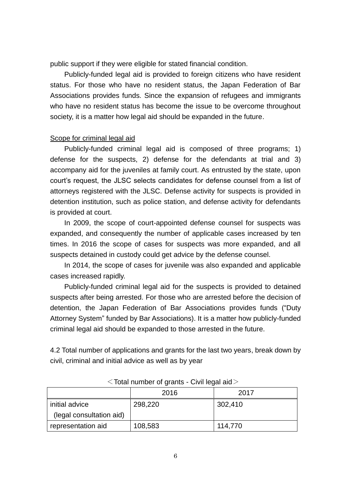public support if they were eligible for stated financial condition.

Publicly-funded legal aid is provided to foreign citizens who have resident status. For those who have no resident status, the Japan Federation of Bar Associations provides funds. Since the expansion of refugees and immigrants who have no resident status has become the issue to be overcome throughout society, it is a matter how legal aid should be expanded in the future.

#### Scope for criminal legal aid

Publicly-funded criminal legal aid is composed of three programs; 1) defense for the suspects, 2) defense for the defendants at trial and 3) accompany aid for the juveniles at family court. As entrusted by the state, upon court's request, the JLSC selects candidates for defense counsel from a list of attorneys registered with the JLSC. Defense activity for suspects is provided in detention institution, such as police station, and defense activity for defendants is provided at court.

In 2009, the scope of court-appointed defense counsel for suspects was expanded, and consequently the number of applicable cases increased by ten times. In 2016 the scope of cases for suspects was more expanded, and all suspects detained in custody could get advice by the defense counsel.

In 2014, the scope of cases for juvenile was also expanded and applicable cases increased rapidly.

Publicly-funded criminal legal aid for the suspects is provided to detained suspects after being arrested. For those who are arrested before the decision of detention, the Japan Federation of Bar Associations provides funds ("Duty Attorney System" funded by Bar Associations). It is a matter how publicly-funded criminal legal aid should be expanded to those arrested in the future.

4.2 Total number of applications and grants for the last two years, break down by civil, criminal and initial advice as well as by year

|                          | 2016    | 2017    |
|--------------------------|---------|---------|
| initial advice           | 298,220 | 302,410 |
| (legal consultation aid) |         |         |
| representation aid       | 108,583 | 114,770 |

 $<$ Total number of grants - Civil legal aid $>$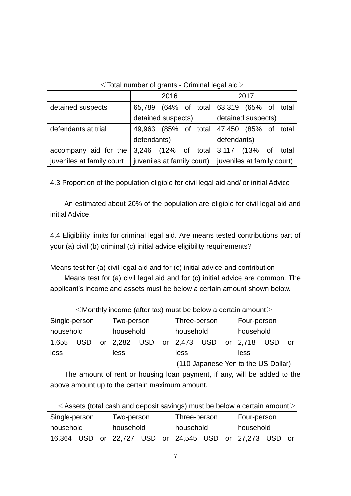|  |  | $\le$ Total number of grants - Criminal legal aid $>$ |
|--|--|-------------------------------------------------------|
|  |  |                                                       |

|                           |                                                               | 2016          |  |             |                                   | 2017 |  |       |
|---------------------------|---------------------------------------------------------------|---------------|--|-------------|-----------------------------------|------|--|-------|
| detained suspects         | 65,789 (64% of total                                          |               |  |             | 63,319 (65% of total              |      |  |       |
|                           | detained suspects)                                            |               |  |             | detained suspects)                |      |  |       |
| defendants at trial       | 49,963                                                        | (85% of total |  |             | 47,450 (85% of total              |      |  |       |
|                           | defendants)                                                   |               |  | defendants) |                                   |      |  |       |
| accompany aid for the     |                                                               |               |  |             | 3,246 (12% of total 3,117 (13% of |      |  | total |
| juveniles at family court | $ $ juveniles at family court) $ $ juveniles at family court) |               |  |             |                                   |      |  |       |

4.3 Proportion of the population eligible for civil legal aid and/ or initial Advice

An estimated about 20% of the population are eligible for civil legal aid and initial Advice.

4.4 Eligibility limits for criminal legal aid. Are means tested contributions part of your (a) civil (b) criminal (c) initial advice eligibility requirements?

Means test for (a) civil legal aid and for (c) initial advice and contribution

Means test for (a) civil legal aid and for (c) initial advice are common. The applicant's income and assets must be below a certain amount shown below.

| Single-person |            |  | Two-person   |            |           | Three-person |           |  | Four-person |            |    |
|---------------|------------|--|--------------|------------|-----------|--------------|-----------|--|-------------|------------|----|
| household     |            |  | household    |            | household |              | household |  |             |            |    |
| 1,655         | <b>USD</b> |  | or $ 2,282 $ | <b>USD</b> |           | or 2,473 USD |           |  | or   2,718  | <b>USD</b> | or |
| less          |            |  | less         |            |           | less         |           |  | less        |            |    |

 $\leq$  Monthly income (after tax) must be below a certain amount  $\geq$ 

(110 Japanese Yen to the US Dollar)

The amount of rent or housing loan payment, if any, will be added to the above amount up to the certain maximum amount.

| $\leq$ Assets (total cash and deposit savings) must be below a certain amount $\geq$ |  |
|--------------------------------------------------------------------------------------|--|
|--------------------------------------------------------------------------------------|--|

| Single-person |           |  | Two-person |  |  | Three-person                              |  |  | Four-person |  |     |
|---------------|-----------|--|------------|--|--|-------------------------------------------|--|--|-------------|--|-----|
| household     | household |  | household  |  |  | household                                 |  |  |             |  |     |
| 16,364 USD    |           |  |            |  |  | or 22,727 USD or 24,545 USD or 27,273 USD |  |  |             |  | -or |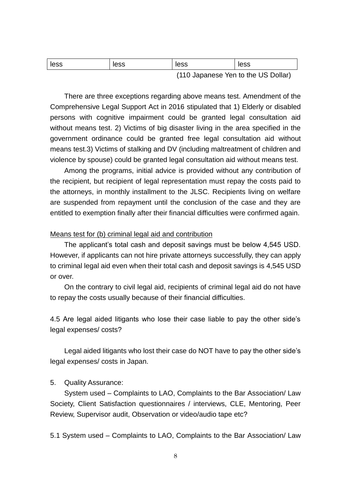| less | less | less                                | less |
|------|------|-------------------------------------|------|
|      |      | (110 Japanese Yen to the US Dollar) |      |

There are three exceptions regarding above means test. Amendment of the Comprehensive Legal Support Act in 2016 stipulated that 1) Elderly or disabled persons with cognitive impairment could be granted legal consultation aid without means test. 2) Victims of big disaster living in the area specified in the government ordinance could be granted free legal consultation aid without means test.3) Victims of stalking and DV (including maltreatment of children and violence by spouse) could be granted legal consultation aid without means test.

Among the programs, initial advice is provided without any contribution of the recipient, but recipient of legal representation must repay the costs paid to the attorneys, in monthly installment to the JLSC. Recipients living on welfare are suspended from repayment until the conclusion of the case and they are entitled to exemption finally after their financial difficulties were confirmed again.

#### Means test for (b) criminal legal aid and contribution

The applicant's total cash and deposit savings must be below 4,545 USD. However, if applicants can not hire private attorneys successfully, they can apply to criminal legal aid even when their total cash and deposit savings is 4,545 USD or over.

 On the contrary to civil legal aid, recipients of criminal legal aid do not have to repay the costs usually because of their financial difficulties.

4.5 Are legal aided litigants who lose their case liable to pay the other side's legal expenses/ costs?

Legal aided litigants who lost their case do NOT have to pay the other side's legal expenses/ costs in Japan.

#### 5. Quality Assurance:

System used – Complaints to LAO, Complaints to the Bar Association/ Law Society, Client Satisfaction questionnaires / interviews, CLE, Mentoring, Peer Review, Supervisor audit, Observation or video/audio tape etc?

5.1 System used – Complaints to LAO, Complaints to the Bar Association/ Law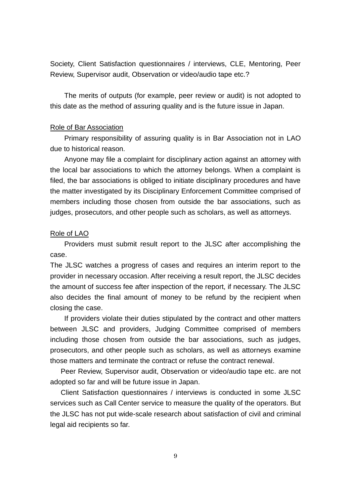Society, Client Satisfaction questionnaires / interviews, CLE, Mentoring, Peer Review, Supervisor audit, Observation or video/audio tape etc.?

The merits of outputs (for example, peer review or audit) is not adopted to this date as the method of assuring quality and is the future issue in Japan.

#### Role of Bar Association

Primary responsibility of assuring quality is in Bar Association not in LAO due to historical reason.

Anyone may file a complaint for disciplinary action against an attorney with the local bar associations to which the attorney belongs. When a complaint is filed, the bar associations is obliged to initiate disciplinary procedures and have the matter investigated by its Disciplinary Enforcement Committee comprised of members including those chosen from outside the bar associations, such as judges, prosecutors, and other people such as scholars, as well as attorneys.

#### Role of LAO

Providers must submit result report to the JLSC after accomplishing the case.

The JLSC watches a progress of cases and requires an interim report to the provider in necessary occasion. After receiving a result report, the JLSC decides the amount of success fee after inspection of the report, if necessary. The JLSC also decides the final amount of money to be refund by the recipient when closing the case.

 If providers violate their duties stipulated by the contract and other matters between JLSC and providers, Judging Committee comprised of members including those chosen from outside the bar associations, such as judges, prosecutors, and other people such as scholars, as well as attorneys examine those matters and terminate the contract or refuse the contract renewal.

Peer Review, Supervisor audit, Observation or video/audio tape etc. are not adopted so far and will be future issue in Japan.

 Client Satisfaction questionnaires / interviews is conducted in some JLSC services such as Call Center service to measure the quality of the operators. But the JLSC has not put wide-scale research about satisfaction of civil and criminal legal aid recipients so far.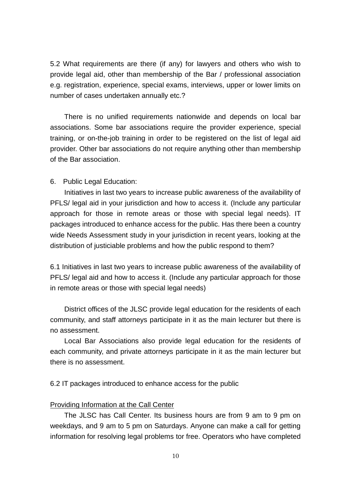5.2 What requirements are there (if any) for lawyers and others who wish to provide legal aid, other than membership of the Bar / professional association e.g. registration, experience, special exams, interviews, upper or lower limits on number of cases undertaken annually etc.?

There is no unified requirements nationwide and depends on local bar associations. Some bar associations require the provider experience, special training, or on-the-job training in order to be registered on the list of legal aid provider. Other bar associations do not require anything other than membership of the Bar association.

#### 6. Public Legal Education:

Initiatives in last two years to increase public awareness of the availability of PFLS/ legal aid in your jurisdiction and how to access it. (Include any particular approach for those in remote areas or those with special legal needs). IT packages introduced to enhance access for the public. Has there been a country wide Needs Assessment study in your jurisdiction in recent years, looking at the distribution of justiciable problems and how the public respond to them?

6.1 Initiatives in last two years to increase public awareness of the availability of PFLS/ legal aid and how to access it. (Include any particular approach for those in remote areas or those with special legal needs)

District offices of the JLSC provide legal education for the residents of each community, and staff attorneys participate in it as the main lecturer but there is no assessment.

Local Bar Associations also provide legal education for the residents of each community, and private attorneys participate in it as the main lecturer but there is no assessment.

6.2 IT packages introduced to enhance access for the public

## Providing Information at the Call Center

The JLSC has Call Center. Its business hours are from 9 am to 9 pm on weekdays, and 9 am to 5 pm on Saturdays. Anyone can make a call for getting information for resolving legal problems tor free. Operators who have completed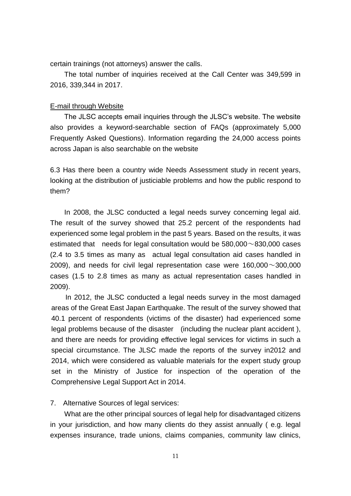certain trainings (not attorneys) answer the calls.

The total number of inquiries received at the Call Center was 349,599 in 2016, 339,344 in 2017.

### E-mail through Website

The JLSC accepts email inquiries through the JLSC's website. The website also provides a keyword-searchable section of FAQs (approximately 5,000 Frequently Asked Questions). Information regarding the 24,000 access points across Japan is also searchable on the website

6.3 Has there been a country wide Needs Assessment study in recent years, looking at the distribution of justiciable problems and how the public respond to them?

In 2008, the JLSC conducted a legal needs survey concerning legal aid. The result of the survey showed that 25.2 percent of the respondents had experienced some legal problem in the past 5 years. Based on the results, it was estimated that needs for legal consultation would be  $580.000 \sim 830.000$  cases (2.4 to 3.5 times as many as actual legal consultation aid cases handled in 2009), and needs for civil legal representation case were  $160,000 \sim 300,000$ cases (1.5 to 2.8 times as many as actual representation cases handled in 2009).

In 2012, the JLSC conducted a legal needs survey in the most damaged areas of the Great East Japan Earthquake. The result of the survey showed that 40.1 percent of respondents (victims of the disaster) had experienced some legal problems because of the disaster (including the nuclear plant accident ), and there are needs for providing effective legal services for victims in such a special circumstance. The JLSC made the reports of the survey in2012 and 2014, which were considered as valuable materials for the expert study group set in the Ministry of Justice for inspection of the operation of the Comprehensive Legal Support Act in 2014.

7. Alternative Sources of legal services:

What are the other principal sources of legal help for disadvantaged citizens in your jurisdiction, and how many clients do they assist annually ( e.g. legal expenses insurance, trade unions, claims companies, community law clinics,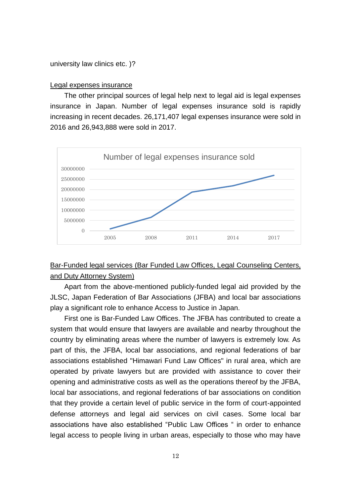university law clinics etc. )?

#### Legal expenses insurance

The other principal sources of legal help next to legal aid is legal expenses insurance in Japan. Number of legal expenses insurance sold is rapidly increasing in recent decades. 26,171,407 legal expenses insurance were sold in 2016 and 26,943,888 were sold in 2017.



## Bar-Funded legal services (Bar Funded Law Offices, Legal Counseling Centers, and Duty Attorney System)

Apart from the above-mentioned publicly-funded legal aid provided by the JLSC, Japan Federation of Bar Associations (JFBA) and local bar associations play a significant role to enhance Access to Justice in Japan.

 First one is Bar-Funded Law Offices. The JFBA has contributed to create a system that would ensure that lawyers are available and nearby throughout the country by eliminating areas where the number of lawyers is extremely low. As part of this, the JFBA, local bar associations, and regional federations of bar associations established "Himawari Fund Law Offices" in rural area, which are operated by private lawyers but are provided with assistance to cover their opening and administrative costs as well as the operations thereof by the JFBA, local bar associations, and regional federations of bar associations on condition that they provide a certain level of public service in the form of court-appointed defense attorneys and legal aid services on civil cases. Some local bar associations have also established "Public Law Offices " in order to enhance legal access to people living in urban areas, especially to those who may have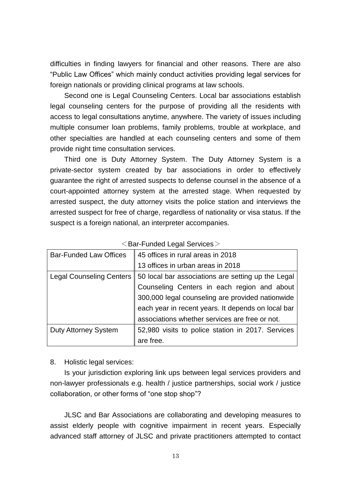difficulties in finding lawyers for financial and other reasons. There are also "Public Law Offices" which mainly conduct activities providing legal services for foreign nationals or providing clinical programs at law schools.

Second one is Legal Counseling Centers. Local bar associations establish legal counseling centers for the purpose of providing all the residents with access to legal consultations anytime, anywhere. The variety of issues including multiple consumer loan problems, family problems, trouble at workplace, and other specialties are handled at each counseling centers and some of them provide night time consultation services.

Third one is Duty Attorney System. The Duty Attorney System is a private-sector system created by bar associations in order to effectively guarantee the right of arrested suspects to defense counsel in the absence of a court-appointed attorney system at the arrested stage. When requested by arrested suspect, the duty attorney visits the police station and interviews the arrested suspect for free of charge, regardless of nationality or visa status. If the suspect is a foreign national, an interpreter accompanies.

| <b>Bar-Funded Law Offices</b>   | 45 offices in rural areas in 2018                  |
|---------------------------------|----------------------------------------------------|
|                                 | 13 offices in urban areas in 2018                  |
| <b>Legal Counseling Centers</b> | 50 local bar associations are setting up the Legal |
|                                 | Counseling Centers in each region and about        |
|                                 | 300,000 legal counseling are provided nationwide   |
|                                 | each year in recent years. It depends on local bar |
|                                 | associations whether services are free or not.     |
| <b>Duty Attorney System</b>     | 52,980 visits to police station in 2017. Services  |
|                                 | are free.                                          |

 $\leq$ Bar-Funded Legal Services $>$ 

8. Holistic legal services:

Is your jurisdiction exploring link ups between legal services providers and non-lawyer professionals e.g. health / justice partnerships, social work / justice collaboration, or other forms of "one stop shop"?

JLSC and Bar Associations are collaborating and developing measures to assist elderly people with cognitive impairment in recent years. Especially advanced staff attorney of JLSC and private practitioners attempted to contact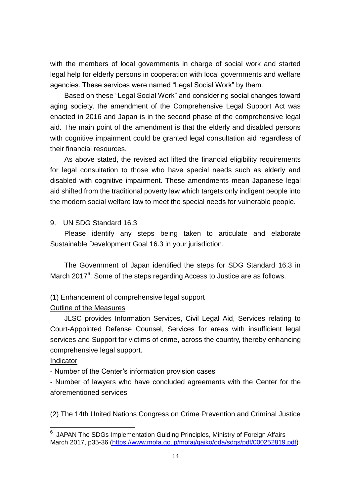with the members of local governments in charge of social work and started legal help for elderly persons in cooperation with local governments and welfare agencies. These services were named "Legal Social Work" by them.

Based on these "Legal Social Work" and considering social changes toward aging society, the amendment of the Comprehensive Legal Support Act was enacted in 2016 and Japan is in the second phase of the comprehensive legal aid. The main point of the amendment is that the elderly and disabled persons with cognitive impairment could be granted legal consultation aid regardless of their financial resources.

As above stated, the revised act lifted the financial eligibility requirements for legal consultation to those who have special needs such as elderly and disabled with cognitive impairment. These amendments mean Japanese legal aid shifted from the traditional poverty law which targets only indigent people into the modern social welfare law to meet the special needs for vulnerable people.

9. UN SDG Standard 16.3

Please identify any steps being taken to articulate and elaborate Sustainable Development Goal 16.3 in your jurisdiction.

The Government of Japan identified the steps for SDG Standard 16.3 in March 2017 $6$ . Some of the steps regarding Access to Justice are as follows.

## (1) Enhancement of comprehensive legal support

## Outline of the Measures

JLSC provides Information Services, Civil Legal Aid, Services relating to Court-Appointed Defense Counsel, Services for areas with insufficient legal services and Support for victims of crime, across the country, thereby enhancing comprehensive legal support.

## Indicator

-

- Number of the Center's information provision cases

- Number of lawyers who have concluded agreements with the Center for the aforementioned services

(2) The 14th United Nations Congress on Crime Prevention and Criminal Justice

<sup>&</sup>lt;sup>6</sup> JAPAN The SDGs Implementation Guiding Principles, Ministry of Foreign Affairs March 2017, p35-36 [\(https://www.mofa.go.jp/mofaj/gaiko/oda/sdgs/pdf/000252819.pdf\)](https://www.mofa.go.jp/mofaj/gaiko/oda/sdgs/pdf/000252819.pdf)